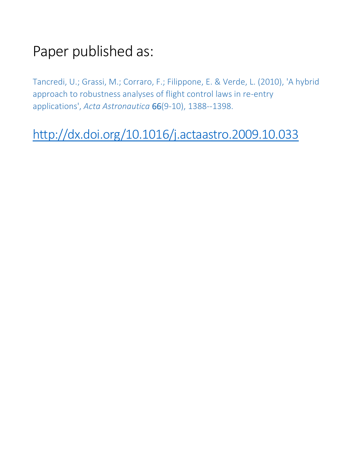# Paper published as:

Tancredi, U.; Grassi, M.; Corraro, F.; Filippone, E. & Verde, L. (2010), 'A hybrid approach to robustness analyses of flight control laws in re-entry applications', *Acta Astronautica* 66(9-10), 1388--1398.

http://dx.doi.org/10.1016/j.actaastro.2009.10.033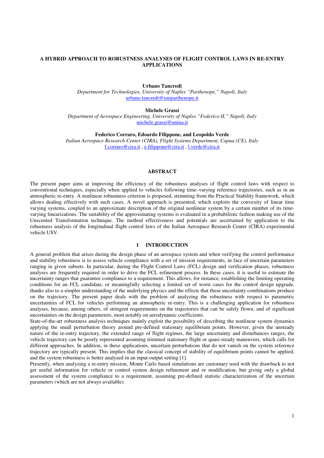# **A HYBRID APPROACH TO ROBUSTNESS ANALYSES OF FLIGHT CONTROL LAWS IN RE-ENTRY APPLICATIONS**

**Urbano Tancredi** 

*Department for Technologies, University of Naples "Parthenope," Napoli, Italy*  urbano.tancredi@uniparthenope.it

**Michele Grassi**

*Department of Aerospace Engineering, University of Naples "Federico II," Napoli, Italy*  michele.grassi@unina.it

**Federico Corraro, Edoardo Filippone, and Leopoldo Verde** 

*Italian Aerospace Research Center (CIRA), Flight Systems Department, Capua (CE), Italy*  f.corraro@cira.it , e.filippone@cira.it , l.verde@cira.it

## **ABSTRACT**

The present paper aims at improving the efficiency of the robustness analyses of flight control laws with respect to conventional techniques, especially when applied to vehicles following time–varying reference trajectories, such as in an atmospheric re-entry. A nonlinear robustness criterion is proposed, stemming from the Practical Stability framework, which allows dealing effectively with such cases. A novel approach is presented, which exploits the convexity of linear time varying systems, coupled to an approximate description of the original nonlinear system by a certain number of its timevarying linearizations. The suitability of the approximating systems is evaluated in a probabilistic fashion making use of the Unscented Transformation technique. The method effectiveness and potentials are ascertained by application to the robustness analysis of the longitudinal flight control laws of the Italian Aerospace Research Center (CIRA) experimental vehicle USV.

## **1 INTRODUCTION**

A general problem that arises during the design phase of an aerospace system and when verifying the control performance and stability robustness is to assess vehicle compliance with a set of mission requirements, in face of uncertain parameters ranging in given subsets. In particular, during the Flight Control Laws (FCL) design and verification phases, robustness analyses are frequently required in order to drive the FCL refinement process. In these cases, it is useful to estimate the uncertainty ranges that guarantee compliance to a requirement. This allows, for instance, establishing the limiting operating conditions for an FCL candidate, or meaningfully selecting a limited set of worst cases for the control design upgrade, thanks also to a simpler understanding of the underlying physics and the effects that these uncertainty combinations produce on the trajectory. The present paper deals with the problem of analyzing the robustness with respect to parametric uncertainties of FCL for vehicles performing an atmospheric re-entry. This is a challenging application for robustness analyses, because, among others, of stringent requirements on the trajectories that can be safely flown, and of significant uncertainties on the design parameters, most notably on aerodynamic coefficients.

State-of-the-art robustness analysis techniques mainly exploit the possibility of describing the nonlinear system dynamics applying the small perturbation theory around pre-defined stationary equilibrium points. However, given the unsteady nature of the re-entry trajectory, the extended range of flight regimes, the large uncertainty and disturbances ranges, the vehicle trajectory can be poorly represented assuming trimmed stationary flight or quasi-steady maneuvers, which calls for different approaches. In addition, in these applications, uncertain perturbations that do not vanish on the system reference trajectory are typically present. This implies that the classical concept of stability of equilibrium points cannot be applied, and the system robustness is better analyzed in an input-output setting [1].

Presently, when analyzing a re-entry mission, Monte Carlo based simulations are customary used with the drawback to not get useful information for vehicle or control system design refinement and or modification, but giving only a global assessment of the system compliance to a requirement, assuming pre-defined statistic characterization of the uncertain parameters (which are not always available).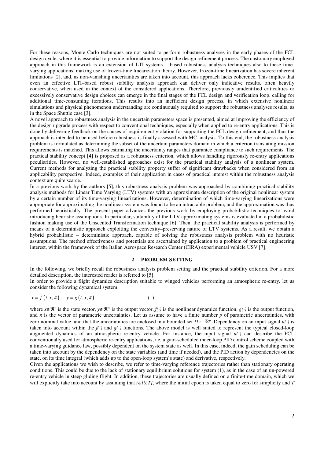For these reasons, Monte Carlo techniques are not suited to perform robustness analyses in the early phases of the FCL design cycle, where it is essential to provide information to support the design refinement process. The customary employed approach in this framework is an extension of LTI systems – based robustness analysis techniques also to these timevarying applications, making use of frozen-time linearization theory. However, frozen-time linearization has severe inherent limitations [2], and, as non-vanishing uncertainties are taken into account, this approach lacks coherence. This implies that even an effective LTI–based robust stability analysis approach can deliver only indicative results, often heavily conservative, when used in the context of the considered applications. Therefore, previously unidentified criticalities or excessively conservative design choices can emerge in the final stages of the FCL design and verification loop, calling for additional time-consuming iterations. This results into an inefficient design process, in which extensive nonlinear simulations and physical phenomenon understanding are continuously required to support the robustness analyses results, as in the Space Shuttle case [3].

A novel approach to robustness analysis in the uncertain parameters space is presented, aimed at improving the efficiency of the design upgrade process with respect to conventional techniques, especially when applied to re-entry applications. This is done by delivering feedback on the causes of requirement violation for supporting the FCL design refinement, and thus the approach is intended to be used before robustness is finally assessed with MC analysis. To this end, the robustness analysis problem is formulated as determining the subset of the uncertain parameters domain in which a criterion translating mission requirements is matched. This allows estimating the uncertainty ranges that guarantee compliance to such requirements. The practical stability concept [4] is proposed as a robustness criterion, which allows handling rigorously re-entry applications peculiarities. However, no well-established approaches exist for the practical stability analysis of a nonlinear system. Current methods for analyzing the practical stability property suffer of significant drawbacks when considered from an applicability perspective. Indeed, examples of their application in cases of practical interest within the robustness analysis context are quite scarce.

In a previous work by the authors [5], this robustness analysis problem was approached by combining practical stability analysis methods for Linear Time Varying (LTV) systems with an approximate description of the original nonlinear system by a certain number of its time-varying linearizations. However, determination of which time-varying linearizations were appropriate for approximating the nonlinear system was found to be an intractable problem, and the approximation was thus performed heuristically. The present paper advances the previous work by employing probabilistic techniques to avoid introducing heuristic assumptions. In particular, suitability of the LTV approximating systems is evaluated in a probabilistic fashion making use of the Unscented Transformation technique [6]. Then, the practical stability analysis is performed by means of a deterministic approach exploiting the convexity–preserving nature of LTV systems. As a result, we obtain a hybrid probabilistic – deterministic approach, capable of solving the robustness analysis problem with no heuristic assumptions. The method effectiveness and potentials are ascertained by application to a problem of practical engineering interest, within the framework of the Italian Aerospace Research Center (CIRA) experimental vehicle USV [7].

## **2 PROBLEM SETTING**

In the following, we briefly recall the robustness analysis problem setting and the practical stability criterion. For a more detailed description, the interested reader is referred to [5].

In order to provide a flight dynamics description suitable to winged vehicles performing an atmospheric re-entry, let us consider the following dynamical system:

$$
x = f(t, x, \pi) \qquad y = g(t, x, \pi) \tag{1}
$$

where  $x \in \mathbb{R}^n$  is the state vector,  $y \in \mathbb{R}^m$  is the output vector,  $f(\cdot)$  is the nonlinear dynamics function,  $g(\cdot)$  is the output function, and  $\pi$  is the vector of parametric uncertainties. Let us assume to have a finite number  $p$  of parametric uncertainties, with zero nominal value, and that the uncertainties are enclosed in a bounded set  $\Pi \subseteq \mathbb{R}^p$ . Dependency on an input signal  $u(\cdot)$  is taken into account within the  $f(r)$  and  $g(r)$  functions. The above model is well suited to represent the typical closed-loop augmented dynamics of an atmospheric re-entry vehicle. For instance, the input signal  $u(\cdot)$  can describe the FCL conventionally used for atmospheric re-entry applications, i.e. a gain-scheduled inner-loop PID control scheme coupled with a time-varying guidance law, possibly dependent on the system state as well. In this case, indeed, the gain scheduling can be taken into account by the dependency on the state variables (and time if needed), and the PID action by dependencies on the state, on its time integral (which adds up to the open-loop system's state) and derivative, respectively.

Given the applications we wish to describe, we refer to time-varying reference trajectories rather than stationary operating conditions. This could be due to the lack of stationary equilibrium solutions for system (1), as in the case of an un-powered re-entry vehicle in steep gliding flight. In addition, these trajectories are usually defined on a finite-time domain, which we will explicitly take into account by assuming that *t*∈*[0,T]*, where the initial epoch is taken equal to zero for simplicity and *T*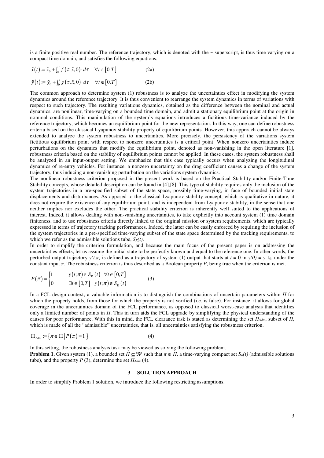is a finite positive real number. The reference trajectory, which is denoted with the  $\sim$  superscript, is thus time varying on a compact time domain, and satisfies the following equations.

$$
\tilde{x}(t) := \tilde{x}_0 + \int_0^t f(\tau, \tilde{x}, 0) \cdot d\tau \quad \forall t \in [0, T]
$$
 (2a)

 $\tilde{y}(t) \coloneqq \tilde{y}_0 + \int_0^t g(\tau, \tilde{x}, 0) \cdot d\tau \quad \forall t \in [0, T]$ (2b)

The common approach to determine system (1) robustness is to analyze the uncertainties effect in modifying the system dynamics around the reference trajectory. It is thus convenient to rearrange the system dynamics in terms of variations with respect to such trajectory. The resulting variations dynamics, obtained as the difference between the nominal and actual dynamics, are nonlinear, time-varying on a bounded time domain, and admit a stationary equilibrium point at the origin in nominal conditions. This manipulation of the system's equations introduces a fictitious time-variance induced by the reference trajectory, which becomes an equilibrium point for the new representation. In this way, one can define robustness criteria based on the classical Lyapunov stability property of equilibrium points. However, this approach cannot be always extended to analyze the system robustness to uncertainties. More precisely, the persistency of the variations system fictitious equilibrium point with respect to nonzero uncertainties is a critical point. When nonzero uncertainties induce perturbations on the dynamics that modify the equilibrium point, denoted as non-vanishing in the open literature [1], robustness criteria based on the stability of equilibrium points cannot be applied. In these cases, the system robustness shall be analyzed in an input-output setting. We emphasize that this case typically occurs when analyzing the longitudinal dynamics of re-entry vehicles. For instance, a nonzero uncertainty on the drag coefficient causes a change of the system trajectory, thus inducing a non-vanishing perturbation on the variations system dynamics.

The nonlinear robustness criterion proposed in the present work is based on the Practical Stability and/or Finite-Time Stability concepts, whose detailed description can be found in [4],[8]. This type of stability requires only the inclusion of the system trajectories in a pre-specified subset of the state space, possibly time-varying, in face of bounded initial state displacements and disturbances. As opposed to the classical Lyapunov stability concept, which is qualitative in nature, it does not require the existence of any equilibrium point, and is independent from Lyapunov stability, in the sense that one neither implies nor excludes the other. The practical stability criterion is inherently well suited to the applications of interest. Indeed, it allows dealing with non-vanishing uncertainties, to take explicitly into account system (1) time domain finiteness, and to use robustness criteria directly linked to the original mission or system requirements, which are typically expressed in terms of trajectory tracking performances. Indeed, the latter can be easily enforced by requiring the inclusion of the system trajectories in a pre-specified time-varying subset of the state space determined by the tracking requirements, to which we refer as the admissible solutions tube,  $S_R(t)$ .

In order to simplify the criterion formulation, and because the main focus of the present paper is on addressing the uncertainties effects, let us assume the initial state to be perfectly known and equal to the reference one. In other words, the perturbed output trajectory  $y(t,\pi)$  is defined as a trajectory of system (1) output that starts at  $t = 0$  in  $y(0) = y \Box_0$ , under the constant input  $\pi$ . The robustness criterion is thus described as a Boolean property *P*, being true when the criterion is met.

$$
P(\pi) = \begin{cases} 1 & y(t; \pi) \in S_R(t) \quad \forall t \in [0, T] \\ 0 & \exists t \in [0, T] : y(t; \pi) \notin S_R(t) \end{cases}
$$
(3)

In a FCL design context, a valuable information is to distinguish the combinations of uncertain parameters within  $\Pi$  for which the property holds, from those for which the property is not verified (i.e. is false). For instance, it allows for global coverage in the uncertainties domain of the FCL performance, as opposed to classical worst-case analysis that identifies only a limited number of points in  $\Pi$ . This in turn aids the FCL upgrade by simplifying the physical understanding of the causes for poor performance. With this in mind, the FCL clearance task is stated as determining the set Π*Adm*, subset of Π, which is made of all the "admissible" uncertainties, that is, all uncertainties satisfying the robustness criterion.

$$
\Pi_{Adm} := \left\{ \pi \in \Pi \, \middle| \, P(\pi) = 1 \, \right\} \tag{4}
$$

In this setting, the robustness analysis task may be viewed as solving the following problem. **Problem 1.** Given system (1), a bounded set  $\Pi \subseteq \mathbb{R}^p$  such that  $\pi \in \Pi$ , a time-varying compact set  $S_R(t)$  (admissible solutions tube), and the property  $P(3)$ , determine the set  $\Pi_{Adm}(4)$ .

## **3 SOLUTION APPROACH**

In order to simplify Problem 1 solution, we introduce the following restricting assumptions.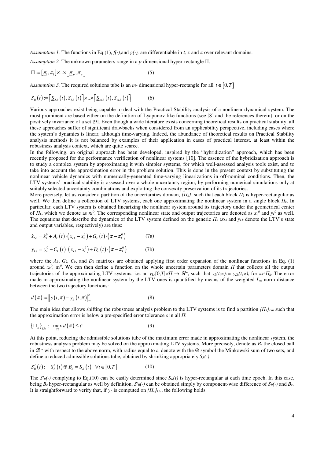*Assumption 1.* The functions in Eq.(1),  $f(\cdot)$ , and  $g(\cdot)$ , are differentiable in *t*, *x* and  $\pi$  over relevant domains.

*Assumption 2.* The unknown parameters range in a *p*-dimensional hyper-rectangle Π.

$$
\Pi := [\underline{\pi}_1, \overline{\pi}_1] \times \ldots \times [\underline{\pi}_p, \overline{\pi}_p]
$$
\n(5)

*Assumption 3.* The required solutions tube is an *m*-dimensional hyper-rectangle for all  $t \in [0, T]$ 

$$
S_R(t) := \left[ \underline{S}_{IR}(t), \overline{S}_{IR}(t) \right] \times \ldots \times \left[ \underline{S}_{mR}(t), \overline{S}_{mR}(t) \right] \tag{6}
$$

Various approaches exist being capable to deal with the Practical Stability analysis of a nonlinear dynamical system. The most prominent are based either on the definition of Lyapunov-like functions (see [8] and the references therein), or on the positively invariance of a set [9]. Even though a wide literature exists concerning theoretical results on practical stability, all these approaches suffer of significant drawbacks when considered from an applicability perspective, including cases where the system's dynamics is linear, although time-varying. Indeed, the abundance of theoretical results on Practical Stability analysis methods it is not balanced by examples of their application in cases of practical interest, at least within the robustness analysis context, which are quite scarce.

In the following, an original approach has been developed, inspired by the "hybridization" approach, which has been recently proposed for the performance verification of nonlinear systems [10]. The essence of the hybridization approach is to study a complex system by approximating it with simpler systems, for which well-assessed analysis tools exist, and to take into account the approximation error in the problem solution. This is done in the present context by substituting the nonlinear vehicle dynamics with numerically-generated time-varying linearizations in off-nominal conditions. Then, the LTV systems' practical stability is assessed over a whole uncertainty region, by performing numerical simulations only at suitably selected uncertainty combinations and exploiting the convexity preservation of its trajectories.

More precisely, let us consider a partition of the uncertainties domain,  ${I}T_k$ *l*, such that each block  $T_k$  is hyper-rectangular as well. We then define a collection of LTV systems, each one approximating the nonlinear system in a single block Π*k*. In particular, each LTV system is obtained linearizing the nonlinear system around its trajectory under the geometrical center of  $\Pi_k$ , which we denote as  $\pi_k^0$ . The corresponding nonlinear state and output trajectories are denoted as  $x_k^0$  and  $y_k^0$  as well. The equations that describe the dynamics of the LTV system defined on the generic Π*<sup>k</sup>* (*xLk* and *yLk* denote the LTV's state and output variables, respectively) are thus:

$$
\dot{x}_{Lk} = \dot{x}_k^0 + A_k(t) \cdot (x_{Lk} - x_k^0) + G_k(t) \cdot (\pi - \pi_k^0)
$$
 (7a)  

$$
y_{Lk} = y_k^0 + C_k(t) \cdot (x_{Lk} - x_k^0) + D_k(t) \cdot (\pi - \pi_k^0)
$$
 (7b)

where the  $A_k$ ,  $G_k$ ,  $C_k$ , and  $D_k$  matrixes are obtained applying first order expansion of the nonlinear functions in Eq. (1) around  $x_k^0$ ,  $\pi_k^0$ . We can then define a function on the whole uncertain parameters domain  $\Pi$  that collects all the output trajectories of the approximating LTV systems, i.e. an  $y_L:[0,T]\times\mathbb{Z}\to\mathbb{R}^n$ , such that  $y_L(t;\pi)=y_{Lk}(t;\pi)$ , for  $\pi\in\Pi_k$ . The error made in approximating the nonlinear system by the LTV ones is quantified by means of the weighted *L*∞ norm distance between the two trajectory functions:

$$
d(\pi) := \left\| y(t, \pi) - y_L(t, \pi) \right\|_{\infty}^b \tag{8}
$$

The main idea that allows shifting the robustness analysis problem to the LTV systems is to find a partition *{*Π*k}Lin* such that the approximation error is below a pre-specified error tolerance  $\varepsilon$  in all  $\Pi$ :

$$
\left\{\Pi_k\right\}_{\text{Lin}}: \ \max_{\Pi} d\left(\pi\right) \leq \varepsilon \tag{9}
$$

At this point, reducing the admissible solutions tube of the maximum error made in approximating the nonlinear system, the robustness analysis problem may be solved on the approximating LTV systems. More precisely, denote as *B<sub>ε</sub>* the closed ball in  $\mathcal{R}^m$  with respect to the above norm, with radius equal to  $\varepsilon$ , denote with the ⊕ symbol the Minkowski sum of two sets, and define a reduced admissible solutions tube, obtained by shrinking appropriately *SR(·)*.

$$
S_R'(t): S_R'(t) \oplus B_{\varepsilon} = S_R(t) \quad \forall t \in [0, T]
$$
 (10)

The  $S'_{R}(·)$  complying to Eq.(10) can be easily determined since  $S_{R}(t)$  is hyper-rectangular at each time epoch. In this case, being  $B_{\varepsilon}$  hyper-rectangular as well by definition,  $S'_{R}(\cdot)$  can be obtained simply by component-wise difference of  $S_{R}(\cdot)$  and  $B_{\varepsilon}$ . It is straightforward to verify that, if  $y_L$  is computed on  $\overline{H_k}$ *Lin*, the following holds: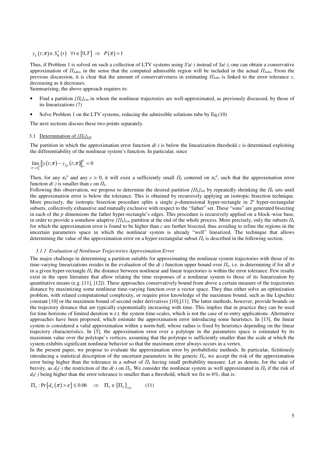$y_L(t; \pi) \in S_R'(t) \quad \forall t \in [0, T] \implies P(\pi) = 1$ 

Thus, if Problem 1 is solved on such a collection of LTV systems using  $S'_{R}(\cdot)$  instead of  $S_{R}(\cdot)$ , one can obtain a conservative approximation of Π*Adm*, in the sense that the computed admissible region will be included in the actual Π*Adm*. From the previous discussion, it is clear that the amount of conservativeness in estimating Π*Adm* is linked to the error tolerance ε, decreasing as it decreases.

Summarizing, the above approach requires to:

- Find a partition *{*Π*k}Lin* in whom the nonlinear trajectories are well-approximated, as previously discussed, by those of its linearizations (7)
- Solve Problem 1 on the LTV systems, reducing the admissible solutions tube by Eq.(10)

The next sections discuss these two points separately.

#### 3.1 Determination of *{*Π*k}Lin*

The partition in which the approximation error function  $d(\cdot)$  is below the linearization threshold  $\varepsilon$  is determined exploiting the differentiability of the nonlinear system's function. In particular, since

$$
\lim_{\pi\to\pi_k^0} \left\| y(t;\pi) - y_{Lk}(t;\pi) \right\|_{\infty}^b = 0
$$

Then, for any  $\pi_k^0$  and any  $\varepsilon > 0$ , it will exist a sufficiently small  $\Pi_k$  centered on  $\pi_k^0$ , such that the approximation error function  $d(\cdot)$  is smaller than  $\varepsilon$  on  $\Pi_k$ .

Following this observation, we propose to determine the desired partition  $\prod_{k}$ *L<sub>in</sub>* by repeatedly shrinking the  $\Pi_k$  sets until the approximation error is below the tolerance. This is obtained by recursively applying an isotropic bisection technique. More precisely, the isotropic bisection procedure splits a single p-dimensional hyper-rectangle in  $2^p$  hyper-rectangular subsets, collectively exhaustive and mutually exclusive with respect to the "father" set. These "sons" are generated bisecting in each of the *p* dimensions the father hyper-rectangle's edges. This procedure is recursively applied on a block–wise base, in order to provide a somehow adaptive  $\prod_k I_{\text{L}in}$  partition at the end of the whole process. More precisely, only the subsets  $\Pi_k$ for which the approximation error is found to be higher than  $\varepsilon$  are further bisected, thus avoiding to refine the regions in the uncertain parameters space in which the nonlinear system is already "well" linearized. The technique that allows determining the value of the approximation error on a hyper-rectangular subset  $\Pi_k$  is described in the following section.

#### *3.1.1 Evaluation of Nonlinear Trajectories Approximation Error*

The major challenge in determining a partition suitable for approximating the nonlinear system trajectories with those of its time-varying linearizations resides in the evaluation of the  $d(\cdot)$  function upper bound over  $\Pi_k$ , i.e. in determining if for all  $\pi$ in a given hyper-rectangle  $\Pi_k$  the distance between nonlinear and linear trajectories is within the error tolerance. Few results exist in the open literature that allow relating the time responses of a nonlinear system to those of its linearization by quantitative means (e.g. [11], [12]). These approaches conservatively bound from above a certain measure of the trajectories distance by maximizing some nonlinear time-varying function over a vector space. They thus either solve an optimization problem, with related computational complexity, or require prior knowledge of the maximum bound, such as the Lipschitz constant [10] or the maximum bound of second order derivatives [10],[11]. The latter methods, however, provide bounds on the trajectory distance that are typically exponentially increasing with time. This implies that in practice they can be used for time horizons of limited duration w.r.t. the system time-scales, which is not the case of re-entry applications. Alternative approaches have been proposed, which estimate the approximation error introducing some heuristics. In [13], the linear system is considered a valid approximation within a norm-ball, whose radius is fixed by heuristics depending on the linear trajectory characteristics. In [5], the approximation error over a polytope in the parameters space is estimated by its maximum value over the polytope's vertices, assuming that the polytope is sufficiently smaller than the scale at which the system exhibits significant nonlinear behavior so that the maximum error always occurs in a vertex.

In the present paper, we propose to evaluate the approximation error by probabilistic methods. In particular, fictitiously introducing a statistical description of the uncertain parameters in the generic  $\Pi_k$ , we accept the risk of the approximation error being higher than the tolerance in a subset of Π*k* having small probability measure. Let us denote, for the sake of brevity, as  $d_k(\cdot)$  the restriction of the  $d(\cdot)$  on  $\Pi_k$ . We consider the nonlinear system as well approximated in  $\Pi_k$  if the risk of  $d_k(\cdot)$  being higher than the error tolerance is smaller than a threshold, which we fix to 6%, that is:

$$
\Pi_{k} : \Pr\{d_{k}(\pi) > \varepsilon\} \le 0.06 \quad \Rightarrow \quad \Pi_{k} \in \{\Pi_{k}\}_{\text{Lin}} \tag{11}
$$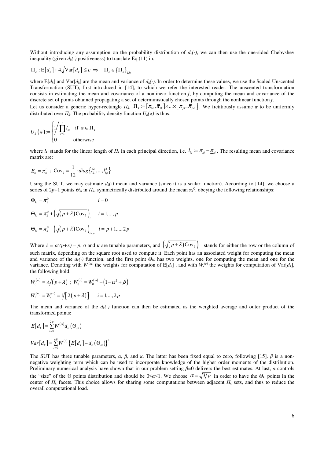Without introducing any assumption on the probability distribution of  $d_k(\cdot)$ , we can then use the one-sided Chebyshev inequality (given  $d_k(\cdot)$  positiveness) to translate Eq.(11) in:

$$
\Pi_k : E[d_k] + 4\sqrt{\text{Var}[d_k]} \leq \varepsilon \implies \Pi_k \in \{\Pi_k\}_{\text{Lin}}
$$

where  $E[d_k]$  and  $Var[d_k]$  are the mean and variance of  $d_k(\cdot)$ . In order to determine these values, we use the Scaled Unscented Transformation (SUT), first introduced in [14], to which we refer the interested reader. The unscented transformation consists in estimating the mean and covariance of a nonlinear function *f*, by computing the mean and covariance of the discrete set of points obtained propagating a set of deterministically chosen points through the nonlinear function *f*.

Let us consider a generic hyper-rectangle  $\Pi_k$ ,  $\Pi_k := [\underline{\pi}_{1k}, \overline{\pi}_{1k}] \times ... \times [\underline{\pi}_{pk}, \overline{\pi}_{pk}]$ . We fictitiously assume  $\pi$  to be uniformly distributed over  $\Pi_k$ . The probability density function  $U_k(\pi)$  is thus:

$$
U_k(\pi) := \begin{cases} \sqrt{\prod_{i=1}^p l_{ki}} & \text{if } \pi \in \Pi_k \\ 0 & \text{otherwise} \end{cases}
$$

where  $l_{ki}$  stands for the linear length of  $\Pi_k$  in each principal direction, i.e.  $l_{ki} := \overline{\pi}_{ki} - \underline{\pi}_{ki}$ . The resulting mean and covariance matrix are:

$$
E_k = \pi_k^0 \; ; \; \text{Cov}_k = \frac{1}{12} \cdot diag\left\{l_{k1}^2, \dots, l_{kp}^2\right\}
$$

Using the SUT, we may estimate  $d_k(\cdot)$  mean and variance (since it is a scalar function). According to [14], we choose a series of  $2p+1$  points  $\Theta_{ki}$  in  $\Pi_k$ , symmetrically distributed around the mean  $\pi_k^0$ , obeying the following relationships:

$$
\Theta_{ki} = \pi_k^0 \qquad i = 0
$$
  
\n
$$
\Theta_{ki} = \pi_k^0 + \left(\sqrt{(p + \lambda)\text{Cov}_k}\right)_i \qquad i = 1, ..., p
$$
  
\n
$$
\Theta_{ki} = \pi_k^0 - \left(\sqrt{(p + \lambda)\text{Cov}_k}\right)_{i-p} \qquad i = p + 1, ..., 2p
$$

Where  $\lambda = \alpha^2(p+\kappa) - p$ ,  $\alpha$  and  $\kappa$  are tunable parameters, and  $(\sqrt{(p+\lambda)}Cov_k)_i$  stands for either the row or the column of such matrix, depending on the square root used to compute it. Each point has an associated weight for computing the mean and variance of the  $d_k(\cdot)$  function, and the first point  $\Theta_{k0}$  has two weights, one for computing the mean and one for the variance. Denoting with  $W_i^{(m)}$  the weights for computation of  $E[d_k]$ , and with  $W_i^{(c)}$  the weights for computation of Var[ $d_k$ ], the following hold.

$$
W_0^{(m)} = \lambda / (p + \lambda) ; W_0^{(c)} = W_0^{(m)} + (1 - \alpha^2 + \beta)
$$
  

$$
W_i^{(m)} = W_i^{(c)} = 1 / [2(p + \lambda)] \qquad i = 1, ..., 2p
$$

The mean and variance of the  $d_k(\cdot)$  function can then be estimated as the weighted average and outer product of the transformed points:

$$
E\left[d_{k}\right] = \sum_{i=0}^{2p} W_{i}^{(m)} d_{k}\left(\Theta_{ki}\right)
$$

$$
Var\left[d_{k}\right] = \sum_{i=0}^{2p} W_{i}^{(c)}\left\{E\left[d_{k}\right] - d_{k}\left(\Theta_{ki}\right)\right\}^{2}
$$

The SUT has three tunable parameters,  $\alpha$ ,  $\beta$ , and  $\kappa$ . The latter has been fixed equal to zero, following [15].  $\beta$  is a nonnegative weighting term which can be used to incorporate knowledge of the higher order moments of the distribution. Preliminary numerical analysis have shown that in our problem setting  $\beta=0$  delivers the best estimates. At last,  $\alpha$  controls the "size" of the Θ points distribution and should be  $0 \leq \alpha \leq 1$ . We choose  $\alpha = \sqrt{3/p}$  in order to have the  $\Theta_{ki}$  points in the center of  $\Pi_k$  facets. This choice allows for sharing some computations between adjacent  $\Pi_k$  sets, and thus to reduce the overall computational load.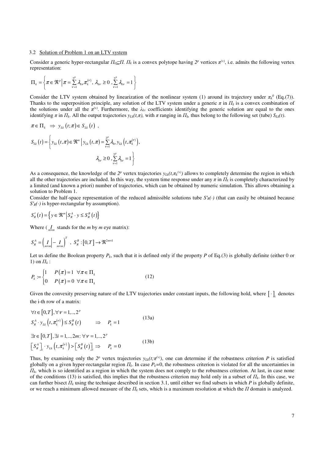# 3.2 Solution of Problem 1 on an LTV system

Consider a generic hyper-rectangular  $\Pi_k \subseteq \Pi$ .  $\Pi_k$  is a convex polytope having  $2^p$  vertices  $\pi^{(v)}$ , i.e. admits the following vertex representation:

$$
\Pi_k = \left\{ \pi \in \mathfrak{R}^p \, \middle| \, \pi = \sum_{\nu=1}^{2^p} \lambda_{\nu} \pi_k^{(\nu)}, \, \lambda_{\nu} \ge 0, \, \sum_{\nu=1}^{2^p} \lambda_{\nu} = 1 \right\}
$$

Consider the LTV system obtained by linearization of the nonlinear system (1) around its trajectory under  $\pi_k^0$  (Eq.(7)). Thanks to the superposition principle, any solution of the LTV system under a generic  $\pi$  in  $\Pi_k$  is a convex combination of the solutions under all the  $\pi^{(v)}$ . Furthermore, the  $\lambda_{kv}$  coefficients identifying the generic solution are equal to the ones identifying  $\pi$  in  $\Pi_k$ . All the output trajectories  $y_{Lk}(t,\pi)$ , with  $\pi$  ranging in  $\Pi_k$ , thus belong to the following set (tube)  $S_{Lk}(t)$ .

$$
S_{Lk}(t) = \left\{ y_{Lk}(t, \pi) \in \mathbb{R}^m \, \Big| \, y_{Lk}(t, \pi) = \sum_{\nu=1}^{2^p} \lambda_{\kappa\nu} y_{Lk}(t, \pi_{\kappa}^{(\nu)}) \right\},
$$

$$
\lambda_{\kappa\nu} \ge 0, \sum_{\nu=1}^{2^p} \lambda_{\kappa\nu} = 1 \right\}
$$

As a consequence, the knowledge of the  $2^p$  vertex trajectories  $y_{Lk}(t, \pi_k^{(v)})$  allows to completely determine the region in which all the other trajectories are included. In this way, the system time response under any  $\pi$  in  $\Pi_k$  is completely characterized by a limited (and known a priori) number of trajectories, which can be obtained by numeric simulation. This allows obtaining a solution to Problem 1.

Consider the half-space representation of the reduced admissible solutions tube *S*′*R(·)* (that can easily be obtained because  $S'_{R}(\cdot)$  is hyper-rectangular by assumption).

$$
S'_{R}(t) = \left\{ y \in \mathfrak{R}^{m} \middle| S_{R}^{A} \cdot y \leq S_{R}^{B}(t) \right\}
$$

 $\pi \in \Pi_{\iota} \implies y_{\iota} (t; \pi) \in S_{\iota} (t)$ ,

Where  $\left(\prod_{m \times m}$  stands for the *m* by *m* eye matrix):

$$
S_R^A = \left(\underset{m \times m}{I} \Big| - \underset{m \times m}{I}\right)^T, \ S_R^B : \big[0, T\big] \to \Re^{2m \times 1}
$$

Let us define the Boolean property  $P_k$ , such that it is defined only if the property  $P$  of Eq.(3) is globally definite (either 0 or 1) on  $\Pi_k$ :

$$
P_k := \begin{cases} 1 & P(\pi) = 1 \quad \forall \pi \in \Pi_k \\ 0 & P(\pi) = 0 \quad \forall \pi \in \Pi_k \end{cases}
$$
(12)

Given the convexity preserving nature of the LTV trajectories under constant inputs, the following hold, where  $[\cdot]_i$  denotes the i-th row of a matrix:

$$
\forall t \in [0, T], \forall \nu = 1, \dots, 2^{\nu}
$$
  
\n
$$
S_R^A \cdot y_{Lk} (t, \pi_k^{(\nu)}) \le S_R^B (t) \implies P_k = 1
$$
  
\n
$$
\exists t \in [0, T], \exists i = 1, \dots, 2m; \forall \nu = 1, \dots, 2^{\nu}
$$
  
\n
$$
\left[ S_R^A \right]_i \cdot y_{Lk} (t, \pi_k^{(\nu)}) > \left[ S_R^B (t) \right]_i \implies P_k = 0
$$
\n(13b)

Thus, by examining only the  $2^p$  vertex trajectories  $y_{Lk}(t; \pi^{(v)})$ , one can determine if the robustness criterion *P* is satisfied globally on a given hyper-rectangular region  $\Pi_k$ . In case  $P_k=0$ , the robustness criterion is violated for all the uncertainties in  $\Pi_k$ , which is so identified as a region in which the system does not comply to the robustness criterion. At last, in case none of the conditions (13) is satisfied, this implies that the robustness criterion may hold only in a subset of Π*k*. In this case, we can further bisect  $\Pi_k$  using the technique described in section 3.1, until either we find subsets in which *P* is globally definite, or we reach a minimum allowed measure of the Π*k* sets, which is a maximum resolution at which the Π domain is analyzed.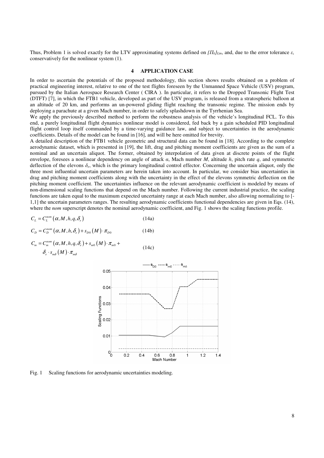Thus, Problem 1 is solved exactly for the LTV approximating systems defined on *{*Π*k}Lin*, and, due to the error tolerance ε*,* conservatively for the nonlinear system (1).

#### **4 APPLICATION CASE**

In order to ascertain the potentials of the proposed methodology, this section shows results obtained on a problem of practical engineering interest, relative to one of the test flights foreseen by the Unmanned Space Vehicle (USV) program, pursued by the Italian Aerospace Research Center ( CIRA ). In particular, it refers to the Dropped Transonic Flight Test (DTFT) [7], in which the FTB1 vehicle, developed as part of the USV program, is released from a stratospheric balloon at an altitude of 20 km, and performs an un-powered gliding flight reaching the transonic regime. The mission ends by deploying a parachute at a given Mach number, in order to safely splashdown in the Tyrrhenian Sea.

We apply the previously described method to perform the robustness analysis of the vehicle's longitudinal FCL. To this end, a purely longitudinal flight dynamics nonlinear model is considered, fed back by a gain scheduled PID longitudinal flight control loop itself commanded by a time-varying guidance law, and subject to uncertainties in the aerodynamic coefficients. Details of the model can be found in [16], and will be here omitted for brevity.

A detailed description of the FTB1 vehicle geometric and structural data can be found in [18]. According to the complete aerodynamic dataset, which is presented in [19], the lift, drag and pitching moment coefficients are given as the sum of a nominal and an uncertain aliquot. The former, obtained by interpolation of data given at discrete points of the flight envelope, foresees a nonlinear dependency on angle of attack α, Mach number *M*, altitude *h*, pitch rate *q*, and symmetric deflection of the elevons δ*e*, which is the primary longitudinal control effector. Concerning the uncertain aliquot, only the three most influential uncertain parameters are herein taken into account. In particular, we consider bias uncertainties in drag and pitching moment coefficients along with the uncertainty in the effect of the elevons symmetric deflection on the pitching moment coefficient. The uncertainties influence on the relevant aerodynamic coefficient is modeled by means of non-dimensional scaling functions that depend on the Mach number. Following the current industrial practice, the scaling functions are taken equal to the maximum expected uncertainty range at each Mach number, also allowing normalizing to [- 1,1] the uncertain parameters ranges. The resulting aerodynamic coefficients functional dependencies are given in Eqs. (14), where the *nom* superscript denotes the nominal aerodynamic coefficient, and Fig. 1 shows the scaling functions profile.

$$
C_{L} = C_{L}^{nom} (\alpha, M, h, q, \delta_{e})
$$
\n(14a)

$$
C_D = C_D^{nom}(\alpha, M, h, \delta_e) + s_{D0}(M) \cdot \pi_{D0}
$$
 (14b)

$$
C_m = C_m^{nom} (\alpha, M, h, q, \delta_e) + s_{m0} (M) \cdot \pi_{m0} + \delta_e \cdot s_{m\delta} (M) \cdot \pi_{m\delta}
$$
 (14c)



Fig. 1 Scaling functions for aerodynamic uncertainties modeling.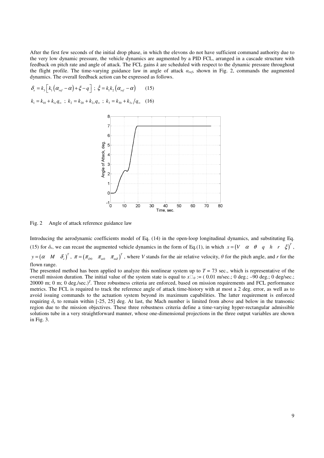After the first few seconds of the initial drop phase, in which the elevons do not have sufficient command authority due to the very low dynamic pressure, the vehicle dynamics are augmented by a PID FCL, arranged in a cascade structure with feedback on pitch rate and angle of attack. The FCL gains *k* are scheduled with respect to the dynamic pressure throughout the flight profile. The time-varying guidance law in angle of attack α*ref*, shown in Fig. 2, commands the augmented dynamics. The overall feedback action can be expressed as follows.

$$
\delta_e = k_3 \left[ k_1 \left( \alpha_{ref} - \alpha \right) + \xi - q \right] ; \ \xi = k_1 k_2 \left( \alpha_{ref} - \alpha \right) \tag{15}
$$
\n
$$
k_1 = k_{10} + k_{1s} q_{\infty} ; \ k_2 = k_{20} + k_{2s} q_{\infty} ; \ k_3 = k_{30} + k_{3s} / q_{\infty} \tag{16}
$$



Fig. 2 Angle of attack reference guidance law

Introducing the aerodynamic coefficients model of Eq. (14) in the open-loop longitudinal dynamics, and substituting Eq. (15) for  $\delta_e$ , we can recast the augmented vehicle dynamics in the form of Eq.(1), in which  $x = (V \ \alpha \ \theta \ q \ h \ r \ \xi)^T$ ,

 $y = (\alpha \quad M \quad \delta_e)^T$ ,  $\pi = (\pi_{D0} \quad \pi_{m0} \quad \pi_{m\delta})^T$ , where *V* stands for the air relative velocity,  $\theta$  for the pitch angle, and *r* for the flown range.

The presented method has been applied to analyze this nonlinear system up to  $T = 73$  sec., which is representative of the overall mission duration. The initial value of the system state is equal to  $x \Box_0 := (0.01 \text{ m/sec.}; 0 \text{ deg.}; -90 \text{ deg.}; 0 \text{ deg/sec.};$ 20000 m; 0 m; 0 deg./sec.)<sup>T</sup>. Three robustness criteria are enforced, based on mission requirements and FCL performance metrics. The FCL is required to track the reference angle of attack time-history with at most a 2 deg. error, as well as to avoid issuing commands to the actuation system beyond its maximum capabilities. The latter requirement is enforced requiring  $\delta_e$  to remain within [-25, 25] deg. At last, the Mach number is limited from above and below in the transonic region due to the mission objectives. These three robustness criteria define a time-varying hyper-rectangular admissible solutions tube in a very straightforward manner, whose one-dimensional projections in the three output variables are shown in Fig. 3.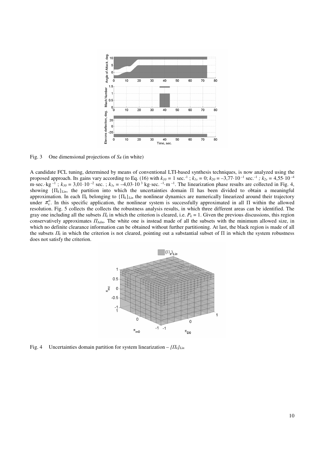

Fig. 3 One dimensional projections of  $S_R$  (in white)

A candidate FCL tuning, determined by means of conventional LTI-based synthesis techniques, is now analyzed using the proposed approach. Its gains vary according to Eq. (16) with  $k_{10} = 1 \text{ sec.}^{-1}$ ;  $k_{1s} = 0$ ;  $k_{20} = -3.77 \cdot 10^{-1} \text{ sec.}^{-1}$ ;  $k_{2s} = 4.55 \cdot 10^{-4}$ m·sec.·kg<sup>-1</sup>;  $k_{30} = 3.01 \cdot 10^{-2}$  sec.;  $k_{3s} = -4.03 \cdot 10^{-3}$  kg·sec.<sup>-1</sup>·m<sup>-1</sup>. The linearization phase results are collected in Fig. 4, showing {Π*k*}*Lin*, the partition into which the uncertainties domain Π has been divided to obtain a meaningful approximation. In each Π*k* belonging to {Π*k*}*Lin* the nonlinear dynamics are numerically linearized around their trajectory under  $\pi_k^0$ . In this specific application, the nonlinear system is successfully approximated in all  $\Pi$  within the allowed resolution. Fig. 5 collects the collects the robustness analysis results, in which three different areas can be identified. The gray one including all the subsets  $\Pi_k$  in which the criterion is cleared, i.e.  $P_k = 1$ . Given the previous discussions, this region conservatively approximates Π*Adm*. The white one is instead made of all the subsets with the minimum allowed size, in which no definite clearance information can be obtained without further partitioning. At last, the black region is made of all the subsets  $\Pi_k$  in which the criterion is not cleared, pointing out a substantial subset of  $\Pi$  in which the system robustness does not satisfy the criterion.



Fig. 4 Uncertainties domain partition for system linearization – *{*Π*k}Lin*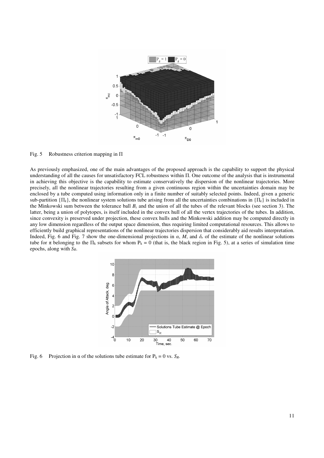

Fig. 5 Robustness criterion mapping in Π

As previously emphasized, one of the main advantages of the proposed approach is the capability to support the physical understanding of all the causes for unsatisfactory FCL robustness within Π. One outcome of the analysis that is instrumental in achieving this objective is the capability to estimate conservatively the dispersion of the nonlinear trajectories. More precisely, all the nonlinear trajectories resulting from a given continuous region within the uncertainties domain may be enclosed by a tube computed using information only in a finite number of suitably selected points. Indeed, given a generic sub-partition  $\{\Pi_k\}$ , the nonlinear system solutions tube arising from all the uncertainties combinations in  $\{\Pi_k\}$  is included in the Minkowski sum between the tolerance ball  $B<sub>e</sub>$  and the union of all the tubes of the relevant blocks (see section 3). The latter, being a union of polytopes, is itself included in the convex hull of all the vertex trajectories of the tubes. In addition, since convexity is preserved under projection, these convex hulls and the Minkowski addition may be computed directly in any low dimension regardless of the output space dimension, thus requiring limited computational resources. This allows to efficiently build graphical representations of the nonlinear trajectories dispersion that considerably aid results interpretation. Indeed, Fig. 6 and Fig. 7 show the one-dimensional projections in  $\alpha$ , M, and  $\delta_e$  of the estimate of the nonlinear solutions tube for  $\pi$  belonging to the  $\Pi_k$  subsets for whom  $P_k = 0$  (that is, the black region in Fig. 5), at a series of simulation time epochs, along with *SR*.



Fig. 6 Projection in  $\alpha$  of the solutions tube estimate for  $P_k = 0$  vs.  $S_R$ .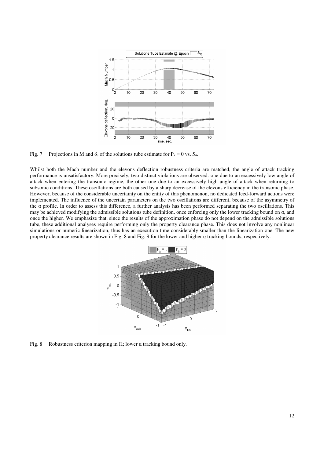

Fig. 7 Projections in M and  $\delta_e$  of the solutions tube estimate for  $P_k = 0$  vs.  $S_R$ .

Whilst both the Mach number and the elevons deflection robustness criteria are matched, the angle of attack tracking performance is unsatisfactory. More precisely, two distinct violations are observed: one due to an excessively low angle of attack when entering the transonic regime, the other one due to an excessively high angle of attack when returning to subsonic conditions. These oscillations are both caused by a sharp decrease of the elevons efficiency in the transonic phase. However, because of the considerable uncertainty on the entity of this phenomenon, no dedicated feed-forward actions were implemented. The influence of the uncertain parameters on the two oscillations are different, because of the asymmetry of the α profile. In order to assess this difference, a further analysis has been performed separating the two oscillations. This may be achieved modifying the admissible solutions tube definition, once enforcing only the lower tracking bound on α, and once the higher. We emphasize that, since the results of the approximation phase do not depend on the admissible solutions tube, these additional analyses require performing only the property clearance phase. This does not involve any nonlinear simulations or numeric linearization, thus has an execution time considerably smaller than the linearization one. The new property clearance results are shown in Fig. 8 and Fig. 9 for the lower and higher  $\alpha$  tracking bounds, respectively.



Fig. 8 Robustness criterion mapping in  $\Pi$ ; lower  $\alpha$  tracking bound only.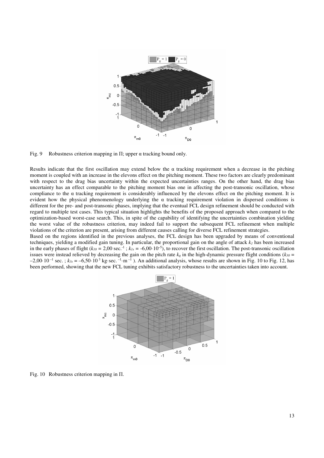

Fig. 9 Robustness criterion mapping in  $\Pi$ ; upper  $\alpha$  tracking bound only.

Results indicate that the first oscillation may extend below the  $\alpha$  tracking requirement when a decrease in the pitching moment is coupled with an increase in the elevons effect on the pitching moment. These two factors are clearly predominant with respect to the drag bias uncertainty within the expected uncertainties ranges. On the other hand, the drag bias uncertainty has an effect comparable to the pitching moment bias one in affecting the post-transonic oscillation, whose compliance to the  $\alpha$  tracking requirement is considerably influenced by the elevons effect on the pitching moment. It is evident how the physical phenomenology underlying the  $\alpha$  tracking requirement violation in dispersed conditions is different for the pre- and post-transonic phases, implying that the eventual FCL design refinement should be conducted with regard to multiple test cases. This typical situation highlights the benefits of the proposed approach when compared to the optimization-based worst-case search. This, in spite of the capability of identifying the uncertainties combination yielding the worst value of the robustness criterion, may indeed fail to support the subsequent FCL refinement when multiple violations of the criterion are present, arising from different causes calling for diverse FCL refinement strategies. Based on the regions identified in the previous analyses, the FCL design has been upgraded by means of conventional techniques, yielding a modified gain tuning. In particular, the proportional gain on the angle of attack *k1* has been increased in the early phases of flight ( $k_{10} = 2.00$  sec.<sup>-1</sup>;  $k_{1s} = -6.00 \cdot 10^{-5}$ ), to recover the first oscillation. The post-transonic oscillation issues were instead relieved by decreasing the gain on the pitch rate  $k_q$  in the high-dynamic pressure flight conditions ( $k_{30}$  =  $-2,00\cdot 10^{-1}$  sec.;  $k_{3s} = -6,50\cdot 10^{-3}$  kg·sec.  $^{-1}\cdot m^{-1}$ . An additional analysis, whose results are shown in Fig. 10 to Fig. 12, has been performed, showing that the new FCL tuning exhibits satisfactory robustness to the uncertainties taken into account.



Fig. 10 Robustness criterion mapping in Π.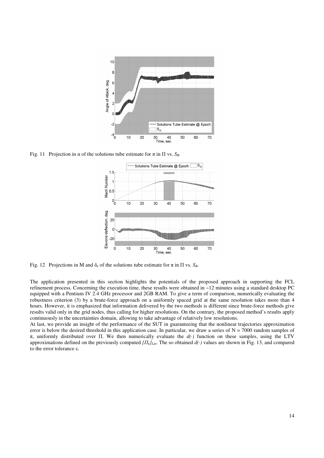

Fig. 11 Projection in  $\alpha$  of the solutions tube estimate for  $\pi$  in  $\Pi$  vs.  $S_R$ .



Fig. 12 Projections in M and  $\delta_e$  of the solutions tube estimate for  $\pi$  in  $\Pi$  vs.  $S_R$ .

The application presented in this section highlights the potentials of the proposed approach in supporting the FCL refinement process. Concerning the execution time, these results were obtained in ~12 minutes using a standard desktop PC equipped with a Pentium IV 2.4 GHz processor and 2GB RAM. To give a term of comparison, numerically evaluating the robustness criterion (3) by a brute-force approach on a uniformly spaced grid at the same resolution takes more than 4 hours. However, it is emphasized that information delivered by the two methods is different since brute-force methods give results valid only in the grid nodes, thus calling for higher resolutions. On the contrary, the proposed method's results apply continuously in the uncertainties domain, allowing to take advantage of relatively low resolutions.

At last, we provide an insight of the performance of the SUT in guaranteeing that the nonlinear trajectories approximation error is below the desired threshold in this application case. In particular, we draw a series of  $N = 7000$  random samples of π, uniformly distributed over Π. We then numerically evaluate the *d(·)* function on these samples, using the LTV approximations defined on the previously computed *{*Π*k}Lin*. The so obtained *d(·)* values are shown in Fig. 13, and compared to the error tolerance ε.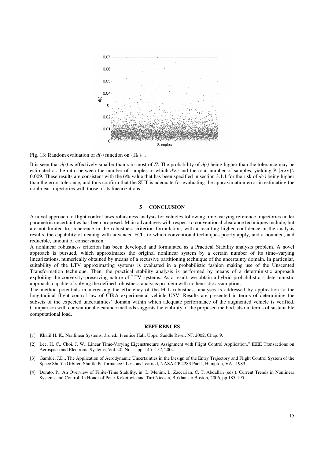

Fig. 13: Random evaluation of  $d(\cdot)$  function on  $\{\Pi_k\}_{\text{Lin}}$ 

It is seen that *d(·)* is effectively smaller than ε in most of Π. The probability of *d(·)* being higher than the tolerance may be estimated as the ratio between the number of samples in which *d>*ε and the total number of samples, yielding Pr{*d>*ε}≈ 0.009. These results are consistent with the 6% value that has been specified in section 3.1.1 for the risk of *d(·)* being higher than the error tolerance, and thus confirm that the SUT is adequate for evaluating the approximation error in estimating the nonlinear trajectories with those of its linearizations.

#### **5 CONCLUSION**

A novel approach to flight control laws robustness analysis for vehicles following time–varying reference trajectories under parametric uncertainties has been proposed. Main advantages with respect to conventional clearance techniques include, but are not limited to, coherence in the robustness criterion formulation, with a resulting higher confidence in the analysis results, the capability of dealing with advanced FCL, to which conventional techniques poorly apply, and a bounded, and reducible, amount of conservatism.

A nonlinear robustness criterion has been developed and formulated as a Practical Stability analysis problem. A novel approach is pursued, which approximates the original nonlinear system by a certain number of its time–varying linearizations, numerically obtained by means of a recursive partitioning technique of the uncertainty domain. In particular, suitability of the LTV approximating systems is evaluated in a probabilistic fashion making use of the Unscented Transformation technique. Then, the practical stability analysis is performed by means of a deterministic approach exploiting the convexity–preserving nature of LTV systems. As a result, we obtain a hybrid probabilistic – deterministic approach, capable of solving the defined robustness analysis problem with no heuristic assumptions.

The method potentials in increasing the efficiency of the FCL robustness analyses is addressed by application to the longitudinal flight control law of CIRA experimental vehicle USV. Results are presented in terms of determining the subsets of the expected uncertainties' domain within which adequate performance of the augmented vehicle is verified. Comparison with conventional clearance methods suggests the viability of the proposed method, also in terms of sustainable computational load.

#### **REFERENCES**

- [1] Khalil,H. K., Nonlinear Systems. 3rd ed., Prentice Hall, Upper Saddle River, NJ, 2002, Chap. 9.
- [2] Lee, H. C., Choi, J. W., Linear Time-Varying Eigenstructure Assignment with Flight Control Application." IEEE Transactions on Aerospace and Electronic Systems, Vol. 40, No. 1, pp. 145- 157, 2004.
- [3] Gamble, J.D., The Application of Aerodynamic Uncertainties in the Design of the Entry Trajectory and Flight Control System of the Space Shuttle Orbiter*.* Shuttle Performance : Lessons Learned, NASA CP 2283 Part I, Hampton, VA., 1983.
- [4] Dorato, P., An Overview of Finite-Time Stability, in: L. Menini, L. Zaccarian, C. T. Abdallah (eds.), Current Trends in Nonlinear Systems and Control: In Honor of Petar Kokotovic and Turi Nicosia, Birkhauser Boston, 2006, pp 185-195.